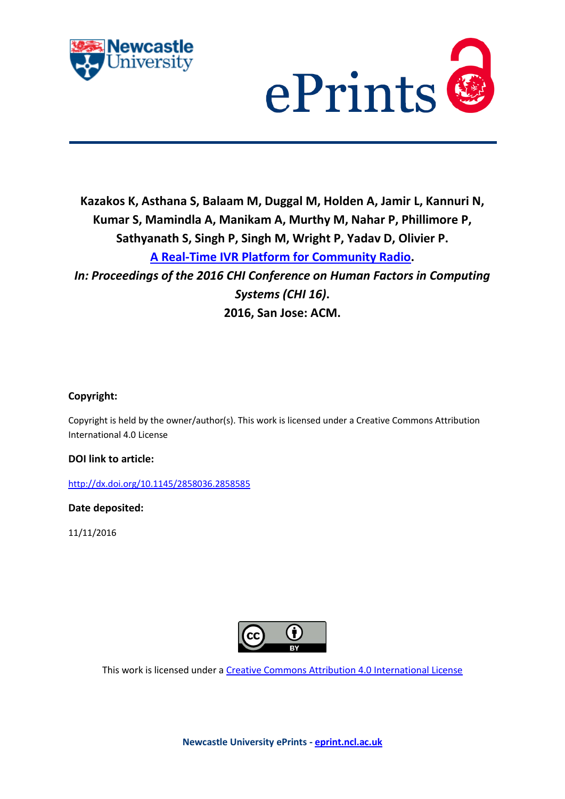



# **Kazakos K, Asthana S, Balaam M, Duggal M, Holden A, Jamir L, Kannuri N, Kumar S, Mamindla A, Manikam A, Murthy M, Nahar P, Phillimore P, Sathyanath S, Singh P, Singh M, Wright P, Yadav D, Olivier P. [A Real-Time IVR Platform for Community Radio.](javascript:ViewPublication(222824);)** *In: Proceedings of the 2016 CHI Conference on Human Factors in Computing Systems (CHI 16)***.**

**2016, San Jose: ACM.**

**Copyright:**

Copyright is held by the owner/author(s). This work is licensed under a Creative Commons Attribution International 4.0 License

# **DOI link to article:**

<http://dx.doi.org/10.1145/2858036.2858585>

**Date deposited:** 

11/11/2016



This work is licensed under a [Creative Commons Attribution 4.0 International License](http://creativecommons.org/licenses/by/4.0/)

**Newcastle University ePrints - [eprint.ncl.ac.uk](http://eprint.ncl.ac.uk/)**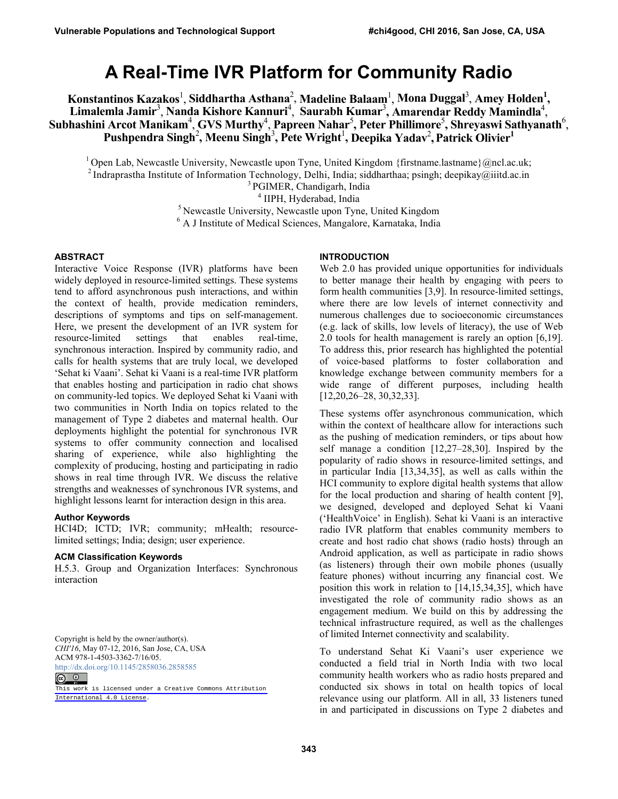# **A Real-Time IVR Platform for Community Radio**

Konstantinos Kaząkos<sup>1</sup>, Siddhartha Asthana<sup>2</sup>, Madeline Balaam<sup>1</sup>, Mona Duggal<sup>3</sup>, Amey Holden<sup>1</sup>, **Limalemla Jamir**<sup>3</sup> , **Nanda Kishore Kannuri**<sup>4</sup> , **Saurabh Kumar**<sup>3</sup> **, Amarendar Reddy Mamindla**<sup>4</sup> , **Subhashini Arcot Manikam**<sup>4</sup> , **GVS Murthy**<sup>4</sup> , **Papreen Nahar**<sup>5</sup> **, Peter Phillimore**<sup>5</sup> **, Shreyaswi Sathyanath**<sup>6</sup> , Pushpendra Singh<sup>2</sup>, Meenu Singh<sup>3</sup>, Pete Wright<sup>1</sup>, Deepika Yadav<sup>2</sup>, Patrick Olivier<sup>1</sup>

<sup>1</sup> Open Lab, Newcastle University, Newcastle upon Tyne, United Kingdom {firstname.lastname}@ncl.ac.uk;<br><sup>2</sup> Indraprastha Institute of Information Technology, Delhi, India; siddharthaa; psingh; deepikay@iiitd.ac.in<br><sup>3</sup> PGI

<sup>4</sup> IIPH, Hyderabad, India

 $<sup>5</sup>$ Newcastle University, Newcastle upon Tyne, United Kingdom</sup>

6 A J Institute of Medical Sciences, Mangalore, Karnataka, India

#### **ABSTRACT**

Interactive Voice Response (IVR) platforms have been widely deployed in resource-limited settings. These systems tend to afford asynchronous push interactions, and within the context of health, provide medication reminders, descriptions of symptoms and tips on self-management. Here, we present the development of an IVR system for resource-limited settings that enables real-time, synchronous interaction. Inspired by community radio, and calls for health systems that are truly local, we developed 'Sehat ki Vaani'. Sehat ki Vaani is a real-time IVR platform that enables hosting and participation in radio chat shows on community-led topics. We deployed Sehat ki Vaani with two communities in North India on topics related to the management of Type 2 diabetes and maternal health. Our deployments highlight the potential for synchronous IVR systems to offer community connection and localised sharing of experience, while also highlighting the complexity of producing, hosting and participating in radio shows in real time through IVR. We discuss the relative strengths and weaknesses of synchronous IVR systems, and highlight lessons learnt for interaction design in this area.

#### **Author Keywords**

HCI4D; ICTD; IVR; community; mHealth; resourcelimited settings; India; design; user experience.

#### **ACM Classification Keywords**

H.5.3. Group and Organization Interfaces: Synchronous interaction

Copyright is held by the owner/author(s). *CHI'16*, May 07-12, 2016, San Jose, CA, USA ACM 978-1-4503-3362-7/16/05. http://dx.doi.org/10.1145/2858036.2858585  $\odot$   $\odot$ 

[This work is licensed under a Creative Commons Attribution](https://creativecommons.org/licenses/by/4.0/)  [International 4.0 License.](https://creativecommons.org/licenses/by/4.0/)

#### **INTRODUCTION**

Web 2.0 has provided unique opportunities for individuals to better manage their health by engaging with peers to form health communities [3,9]. In resource-limited settings, where there are low levels of internet connectivity and numerous challenges due to socioeconomic circumstances (e.g. lack of skills, low levels of literacy), the use of Web 2.0 tools for health management is rarely an option [6,19]. To address this, prior research has highlighted the potential of voice-based platforms to foster collaboration and knowledge exchange between community members for a wide range of different purposes, including health [12,20,26–28, 30,32,33].

These systems offer asynchronous communication, which within the context of healthcare allow for interactions such as the pushing of medication reminders, or tips about how self manage a condition [12,27–28,30]. Inspired by the popularity of radio shows in resource-limited settings, and in particular India [13,34,35], as well as calls within the HCI community to explore digital health systems that allow for the local production and sharing of health content [9], we designed, developed and deployed Sehat ki Vaani ('HealthVoice' in English). Sehat ki Vaani is an interactive radio IVR platform that enables community members to create and host radio chat shows (radio hosts) through an Android application, as well as participate in radio shows (as listeners) through their own mobile phones (usually feature phones) without incurring any financial cost. We position this work in relation to [14,15,34,35], which have investigated the role of community radio shows as an engagement medium. We build on this by addressing the technical infrastructure required, as well as the challenges of limited Internet connectivity and scalability.

To understand Sehat Ki Vaani's user experience we conducted a field trial in North India with two local community health workers who as radio hosts prepared and conducted six shows in total on health topics of local relevance using our platform. All in all, 33 listeners tuned in and participated in discussions on Type 2 diabetes and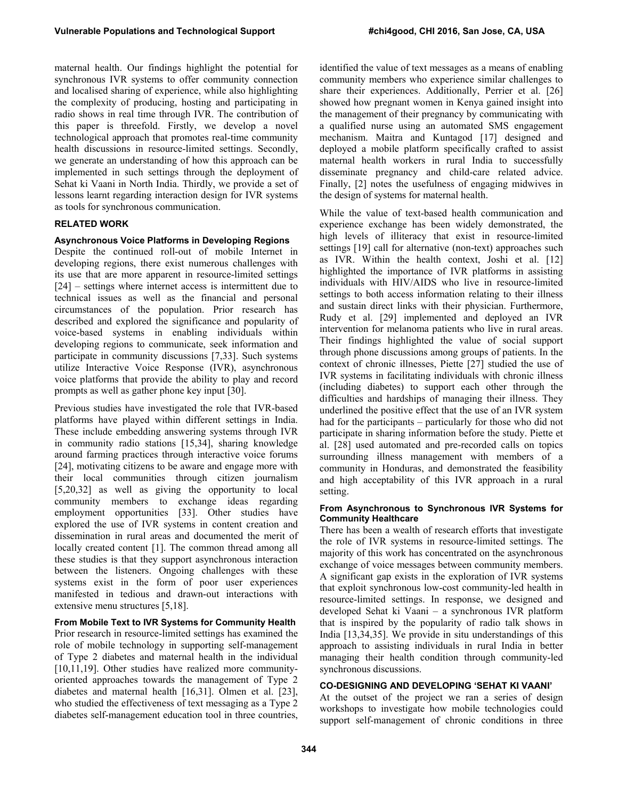maternal health. Our findings highlight the potential for synchronous IVR systems to offer community connection and localised sharing of experience, while also highlighting the complexity of producing, hosting and participating in radio shows in real time through IVR. The contribution of this paper is threefold. Firstly, we develop a novel technological approach that promotes real-time community health discussions in resource-limited settings. Secondly, we generate an understanding of how this approach can be implemented in such settings through the deployment of Sehat ki Vaani in North India. Thirdly, we provide a set of lessons learnt regarding interaction design for IVR systems as tools for synchronous communication.

## **RELATED WORK**

# **Asynchronous Voice Platforms in Developing Regions**

Despite the continued roll-out of mobile Internet in developing regions, there exist numerous challenges with its use that are more apparent in resource-limited settings [24] – settings where internet access is intermittent due to technical issues as well as the financial and personal circumstances of the population. Prior research has described and explored the significance and popularity of voice-based systems in enabling individuals within developing regions to communicate, seek information and participate in community discussions [7,33]. Such systems utilize Interactive Voice Response (IVR), asynchronous voice platforms that provide the ability to play and record prompts as well as gather phone key input [30].

Previous studies have investigated the role that IVR-based platforms have played within different settings in India. These include embedding answering systems through IVR in community radio stations [15,34], sharing knowledge around farming practices through interactive voice forums [24], motivating citizens to be aware and engage more with their local communities through citizen journalism [5,20,32] as well as giving the opportunity to local community members to exchange ideas regarding employment opportunities [33]. Other studies have explored the use of IVR systems in content creation and dissemination in rural areas and documented the merit of locally created content [1]. The common thread among all these studies is that they support asynchronous interaction between the listeners. Ongoing challenges with these systems exist in the form of poor user experiences manifested in tedious and drawn-out interactions with extensive menu structures [5,18].

# **From Mobile Text to IVR Systems for Community Health**

Prior research in resource-limited settings has examined the role of mobile technology in supporting self-management of Type 2 diabetes and maternal health in the individual [10,11,19]. Other studies have realized more communityoriented approaches towards the management of Type 2 diabetes and maternal health [16,31]. Olmen et al. [23], who studied the effectiveness of text messaging as a Type 2 diabetes self-management education tool in three countries,

identified the value of text messages as a means of enabling community members who experience similar challenges to share their experiences. Additionally, Perrier et al. [26] showed how pregnant women in Kenya gained insight into the management of their pregnancy by communicating with a qualified nurse using an automated SMS engagement mechanism. Maitra and Kuntagod [17] designed and deployed a mobile platform specifically crafted to assist maternal health workers in rural India to successfully disseminate pregnancy and child-care related advice. Finally, [2] notes the usefulness of engaging midwives in the design of systems for maternal health.

While the value of text-based health communication and experience exchange has been widely demonstrated, the high levels of illiteracy that exist in resource-limited settings [19] call for alternative (non-text) approaches such as IVR. Within the health context, Joshi et al. [12] highlighted the importance of IVR platforms in assisting individuals with HIV/AIDS who live in resource-limited settings to both access information relating to their illness and sustain direct links with their physician. Furthermore, Rudy et al. [29] implemented and deployed an IVR intervention for melanoma patients who live in rural areas. Their findings highlighted the value of social support through phone discussions among groups of patients. In the context of chronic illnesses, Piette [27] studied the use of IVR systems in facilitating individuals with chronic illness (including diabetes) to support each other through the difficulties and hardships of managing their illness. They underlined the positive effect that the use of an IVR system had for the participants – particularly for those who did not participate in sharing information before the study. Piette et al. [28] used automated and pre-recorded calls on topics surrounding illness management with members of a community in Honduras, and demonstrated the feasibility and high acceptability of this IVR approach in a rural setting.

#### **From Asynchronous to Synchronous IVR Systems for Community Healthcare**

There has been a wealth of research efforts that investigate the role of IVR systems in resource-limited settings. The majority of this work has concentrated on the asynchronous exchange of voice messages between community members. A significant gap exists in the exploration of IVR systems that exploit synchronous low-cost community-led health in resource-limited settings. In response, we designed and developed Sehat ki Vaani – a synchronous IVR platform that is inspired by the popularity of radio talk shows in India [13,34,35]. We provide in situ understandings of this approach to assisting individuals in rural India in better managing their health condition through community-led synchronous discussions.

## **CO-DESIGNING AND DEVELOPING 'SEHAT KI VAANI'**

At the outset of the project we ran a series of design workshops to investigate how mobile technologies could support self-management of chronic conditions in three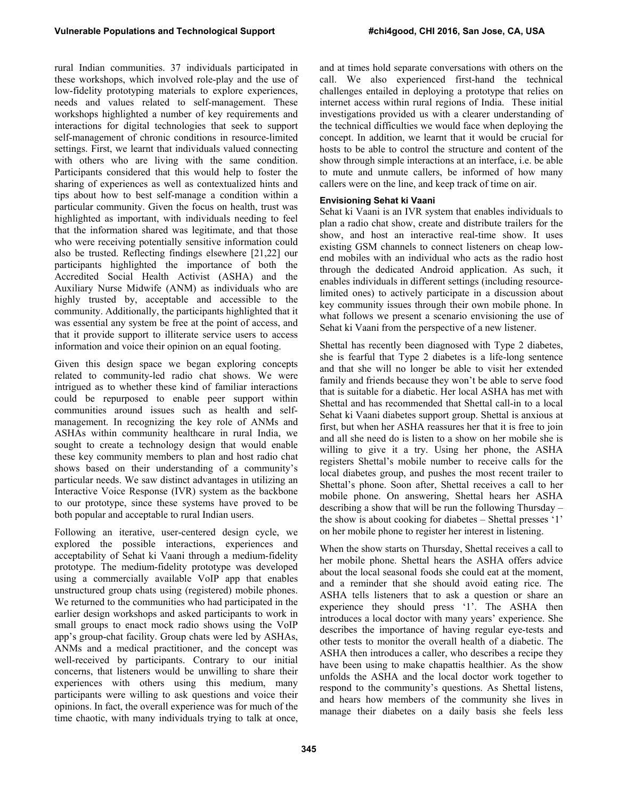rural Indian communities. 37 individuals participated in these workshops, which involved role-play and the use of low-fidelity prototyping materials to explore experiences, needs and values related to self-management. These workshops highlighted a number of key requirements and interactions for digital technologies that seek to support self-management of chronic conditions in resource-limited settings. First, we learnt that individuals valued connecting with others who are living with the same condition. Participants considered that this would help to foster the sharing of experiences as well as contextualized hints and tips about how to best self-manage a condition within a particular community. Given the focus on health, trust was highlighted as important, with individuals needing to feel that the information shared was legitimate, and that those who were receiving potentially sensitive information could also be trusted. Reflecting findings elsewhere [21,22] our participants highlighted the importance of both the Accredited Social Health Activist (ASHA) and the Auxiliary Nurse Midwife (ANM) as individuals who are highly trusted by, acceptable and accessible to the community. Additionally, the participants highlighted that it was essential any system be free at the point of access, and that it provide support to illiterate service users to access information and voice their opinion on an equal footing.

Given this design space we began exploring concepts related to community-led radio chat shows. We were intrigued as to whether these kind of familiar interactions could be repurposed to enable peer support within communities around issues such as health and selfmanagement. In recognizing the key role of ANMs and ASHAs within community healthcare in rural India, we sought to create a technology design that would enable these key community members to plan and host radio chat shows based on their understanding of a community's particular needs. We saw distinct advantages in utilizing an Interactive Voice Response (IVR) system as the backbone to our prototype, since these systems have proved to be both popular and acceptable to rural Indian users.

Following an iterative, user-centered design cycle, we explored the possible interactions, experiences and acceptability of Sehat ki Vaani through a medium-fidelity prototype. The medium-fidelity prototype was developed using a commercially available VoIP app that enables unstructured group chats using (registered) mobile phones. We returned to the communities who had participated in the earlier design workshops and asked participants to work in small groups to enact mock radio shows using the VoIP app's group-chat facility. Group chats were led by ASHAs, ANMs and a medical practitioner, and the concept was well-received by participants. Contrary to our initial concerns, that listeners would be unwilling to share their experiences with others using this medium, many participants were willing to ask questions and voice their opinions. In fact, the overall experience was for much of the time chaotic, with many individuals trying to talk at once, and at times hold separate conversations with others on the call. We also experienced first-hand the technical challenges entailed in deploying a prototype that relies on internet access within rural regions of India. These initial investigations provided us with a clearer understanding of the technical difficulties we would face when deploying the concept. In addition, we learnt that it would be crucial for hosts to be able to control the structure and content of the show through simple interactions at an interface, i.e. be able to mute and unmute callers, be informed of how many callers were on the line, and keep track of time on air.

# **Envisioning Sehat ki Vaani**

Sehat ki Vaani is an IVR system that enables individuals to plan a radio chat show, create and distribute trailers for the show, and host an interactive real-time show. It uses existing GSM channels to connect listeners on cheap lowend mobiles with an individual who acts as the radio host through the dedicated Android application. As such, it enables individuals in different settings (including resourcelimited ones) to actively participate in a discussion about key community issues through their own mobile phone. In what follows we present a scenario envisioning the use of Sehat ki Vaani from the perspective of a new listener.

Shettal has recently been diagnosed with Type 2 diabetes, she is fearful that Type 2 diabetes is a life-long sentence and that she will no longer be able to visit her extended family and friends because they won't be able to serve food that is suitable for a diabetic. Her local ASHA has met with Shettal and has recommended that Shettal call-in to a local Sehat ki Vaani diabetes support group. Shettal is anxious at first, but when her ASHA reassures her that it is free to join and all she need do is listen to a show on her mobile she is willing to give it a try. Using her phone, the ASHA registers Shettal's mobile number to receive calls for the local diabetes group, and pushes the most recent trailer to Shettal's phone. Soon after, Shettal receives a call to her mobile phone. On answering, Shettal hears her ASHA describing a show that will be run the following Thursday – the show is about cooking for diabetes – Shettal presses '1' on her mobile phone to register her interest in listening.

When the show starts on Thursday, Shettal receives a call to her mobile phone. Shettal hears the ASHA offers advice about the local seasonal foods she could eat at the moment, and a reminder that she should avoid eating rice. The ASHA tells listeners that to ask a question or share an experience they should press '1'. The ASHA then introduces a local doctor with many years' experience. She describes the importance of having regular eye-tests and other tests to monitor the overall health of a diabetic. The ASHA then introduces a caller, who describes a recipe they have been using to make chapattis healthier. As the show unfolds the ASHA and the local doctor work together to respond to the community's questions. As Shettal listens, and hears how members of the community she lives in manage their diabetes on a daily basis she feels less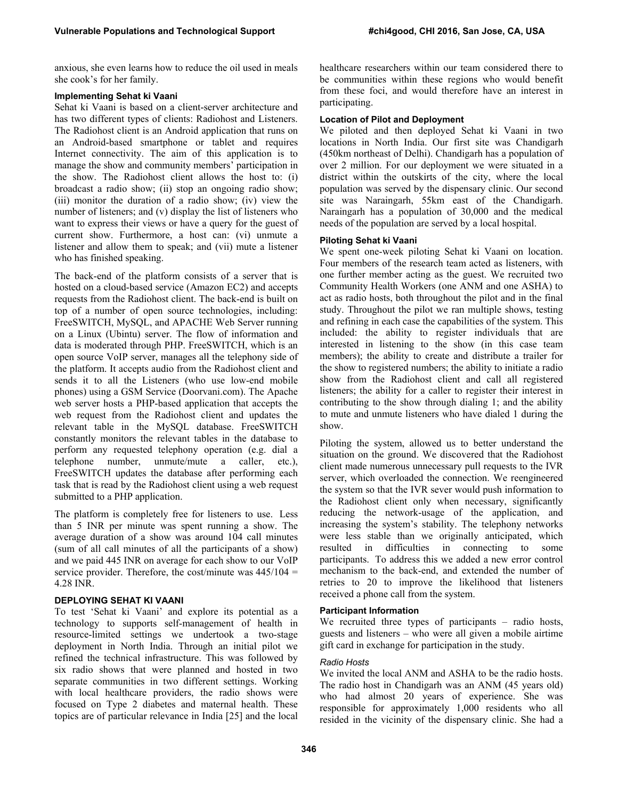anxious, she even learns how to reduce the oil used in meals she cook's for her family.

## **Implementing Sehat ki Vaani**

Sehat ki Vaani is based on a client-server architecture and has two different types of clients: Radiohost and Listeners. The Radiohost client is an Android application that runs on an Android-based smartphone or tablet and requires Internet connectivity. The aim of this application is to manage the show and community members' participation in the show. The Radiohost client allows the host to: (i) broadcast a radio show; (ii) stop an ongoing radio show; (iii) monitor the duration of a radio show; (iv) view the number of listeners; and (v) display the list of listeners who want to express their views or have a query for the guest of current show. Furthermore, a host can: (vi) unmute a listener and allow them to speak; and (vii) mute a listener who has finished speaking.

The back-end of the platform consists of a server that is hosted on a cloud-based service (Amazon EC2) and accepts requests from the Radiohost client. The back-end is built on top of a number of open source technologies, including: FreeSWITCH, MySQL, and APACHE Web Server running on a Linux (Ubintu) server. The flow of information and data is moderated through PHP. FreeSWITCH, which is an open source VoIP server, manages all the telephony side of the platform. It accepts audio from the Radiohost client and sends it to all the Listeners (who use low-end mobile phones) using a GSM Service (Doorvani.com). The Apache web server hosts a PHP-based application that accepts the web request from the Radiohost client and updates the relevant table in the MySQL database. FreeSWITCH constantly monitors the relevant tables in the database to perform any requested telephony operation (e.g. dial a telephone number, unmute/mute a caller, etc.), FreeSWITCH updates the database after performing each task that is read by the Radiohost client using a web request submitted to a PHP application.

The platform is completely free for listeners to use. Less than 5 INR per minute was spent running a show. The average duration of a show was around 104 call minutes (sum of all call minutes of all the participants of a show) and we paid 445 INR on average for each show to our VoIP service provider. Therefore, the cost/minute was  $445/104 =$ 4.28 INR.

## **DEPLOYING SEHAT KI VAANI**

To test 'Sehat ki Vaani' and explore its potential as a technology to supports self-management of health in resource-limited settings we undertook a two-stage deployment in North India. Through an initial pilot we refined the technical infrastructure. This was followed by six radio shows that were planned and hosted in two separate communities in two different settings. Working with local healthcare providers, the radio shows were focused on Type 2 diabetes and maternal health. These topics are of particular relevance in India [25] and the local healthcare researchers within our team considered there to be communities within these regions who would benefit from these foci, and would therefore have an interest in participating.

## **Location of Pilot and Deployment**

We piloted and then deployed Sehat ki Vaani in two locations in North India. Our first site was Chandigarh (450km northeast of Delhi). Chandigarh has a population of over 2 million. For our deployment we were situated in a district within the outskirts of the city, where the local population was served by the dispensary clinic. Our second site was Naraingarh, 55km east of the Chandigarh. Naraingarh has a population of 30,000 and the medical needs of the population are served by a local hospital.

## **Piloting Sehat ki Vaani**

We spent one-week piloting Sehat ki Vaani on location. Four members of the research team acted as listeners, with one further member acting as the guest. We recruited two Community Health Workers (one ANM and one ASHA) to act as radio hosts, both throughout the pilot and in the final study. Throughout the pilot we ran multiple shows, testing and refining in each case the capabilities of the system. This included: the ability to register individuals that are interested in listening to the show (in this case team members); the ability to create and distribute a trailer for the show to registered numbers; the ability to initiate a radio show from the Radiohost client and call all registered listeners; the ability for a caller to register their interest in contributing to the show through dialing 1; and the ability to mute and unmute listeners who have dialed 1 during the show.

Piloting the system, allowed us to better understand the situation on the ground. We discovered that the Radiohost client made numerous unnecessary pull requests to the IVR server, which overloaded the connection. We reengineered the system so that the IVR sever would push information to the Radiohost client only when necessary, significantly reducing the network-usage of the application, and increasing the system's stability. The telephony networks were less stable than we originally anticipated, which resulted in difficulties in connecting to some participants. To address this we added a new error control mechanism to the back-end, and extended the number of retries to 20 to improve the likelihood that listeners received a phone call from the system.

## **Participant Information**

We recruited three types of participants – radio hosts, guests and listeners – who were all given a mobile airtime gift card in exchange for participation in the study.

#### *Radio Hosts*

We invited the local ANM and ASHA to be the radio hosts. The radio host in Chandigarh was an ANM (45 years old) who had almost 20 years of experience. She was responsible for approximately 1,000 residents who all resided in the vicinity of the dispensary clinic. She had a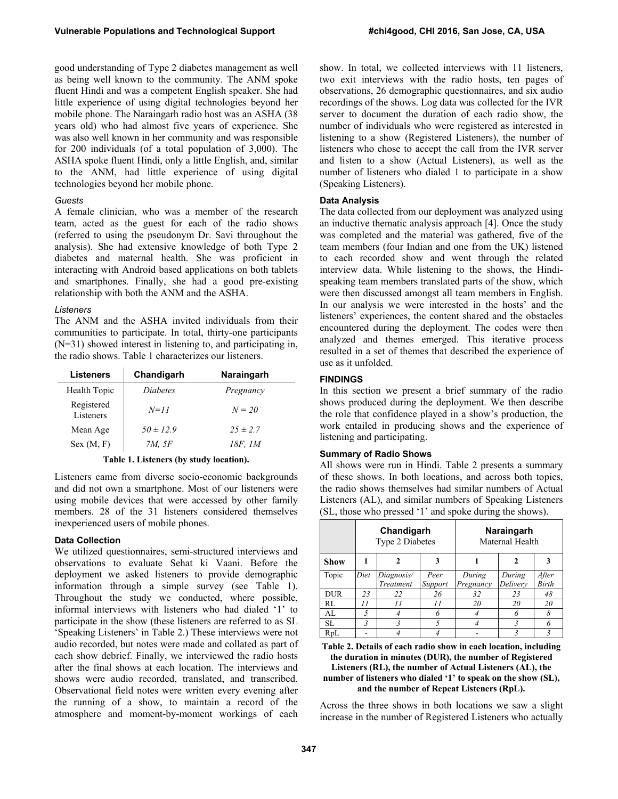good understanding of Type 2 diabetes management as well as being well known to the community. The ANM spoke fluent Hindi and was a competent English speaker. She had little experience of using digital technologies beyond her mobile phone. The Naraingarh radio host was an ASHA (38 years old) who had almost five years of experience. She was also well known in her community and was responsible for 200 individuals (of a total population of 3,000). The ASHA spoke fluent Hindi, only a little English, and, similar to the ANM, had little experience of using digital technologies beyond her mobile phone.

#### *Guests*

A female clinician, who was a member of the research team, acted as the guest for each of the radio shows (referred to using the pseudonym Dr. Savi throughout the analysis). She had extensive knowledge of both Type 2 diabetes and maternal health. She was proficient in interacting with Android based applications on both tablets and smartphones. Finally, she had a good pre-existing relationship with both the ANM and the ASHA.

#### *Listeners*

The ANM and the ASHA invited individuals from their communities to participate. In total, thirty-one participants (N=31) showed interest in listening to, and participating in, the radio shows. Table 1 characterizes our listeners.

| <b>Listeners</b>        | Chandigarh      | <b>Naraingarh</b> |  |  |
|-------------------------|-----------------|-------------------|--|--|
| <b>Health Topic</b>     | <i>Diabetes</i> | Pregnancy         |  |  |
| Registered<br>Listeners | $N = 11$        | $N = 20$          |  |  |
| Mean Age                | $50 \pm 12.9$   | $25 \pm 2.7$      |  |  |
| Sex (M, F)              | 7M, 5F          | 18F, 1M           |  |  |

#### **Table 1. Listeners (by study location).**

Listeners came from diverse socio-economic backgrounds and did not own a smartphone. Most of our listeners were using mobile devices that were accessed by other family members. 28 of the 31 listeners considered themselves inexperienced users of mobile phones.

#### **Data Collection**

We utilized questionnaires, semi-structured interviews and observations to evaluate Sehat ki Vaani. Before the deployment we asked listeners to provide demographic information through a simple survey (see Table 1). Throughout the study we conducted, where possible, informal interviews with listeners who had dialed '1' to participate in the show (these listeners are referred to as SL 'Speaking Listeners' in Table 2.) These interviews were not audio recorded, but notes were made and collated as part of each show debrief. Finally, we interviewed the radio hosts after the final shows at each location. The interviews and shows were audio recorded, translated, and transcribed. Observational field notes were written every evening after the running of a show, to maintain a record of the atmosphere and moment-by-moment workings of each

show. In total, we collected interviews with 11 listeners, two exit interviews with the radio hosts, ten pages of observations, 26 demographic questionnaires, and six audio recordings of the shows. Log data was collected for the IVR server to document the duration of each radio show, the number of individuals who were registered as interested in listening to a show (Registered Listeners), the number of listeners who chose to accept the call from the IVR server and listen to a show (Actual Listeners), as well as the number of listeners who dialed 1 to participate in a show (Speaking Listeners).

#### **Data Analysis**

The data collected from our deployment was analyzed using an inductive thematic analysis approach [4]. Once the study was completed and the material was gathered, five of the team members (four Indian and one from the UK) listened to each recorded show and went through the related interview data. While listening to the shows, the Hindispeaking team members translated parts of the show, which were then discussed amongst all team members in English. In our analysis we were interested in the hosts' and the listeners' experiences, the content shared and the obstacles encountered during the deployment. The codes were then analyzed and themes emerged. This iterative process resulted in a set of themes that described the experience of use as it unfolded.

#### **FINDINGS**

In this section we present a brief summary of the radio shows produced during the deployment. We then describe the role that confidence played in a show's production, the work entailed in producing shows and the experience of listening and participating.

#### **Summary of Radio Shows**

All shows were run in Hindi. Table 2 presents a summary of these shows. In both locations, and across both topics, the radio shows themselves had similar numbers of Actual Listeners (AL), and similar numbers of Speaking Listeners (SL, those who pressed '1' and spoke during the shows).

|             | Chandigarh<br>Type 2 Diabetes |                         |                 | Naraingarh<br>Maternal Health |                    |                       |
|-------------|-------------------------------|-------------------------|-----------------|-------------------------------|--------------------|-----------------------|
| <b>Show</b> | 1                             |                         | 3               |                               | 2                  | 3                     |
| Topic       | Diet                          | Diagnosis/<br>Treatment | Peer<br>Support | During<br>Pregnancy           | During<br>Delivery | After<br><b>Birth</b> |
| <b>DUR</b>  | 23                            | 22                      | 26              | 32                            | 23                 | 48                    |
| RL          | 11                            | 11                      | 11              | 20                            | 20                 | 20                    |
| AL          | 5                             |                         | 6               |                               | 6                  | 8                     |
| <b>SL</b>   | 3                             | 3                       | 5               | 4                             | 3                  | 6                     |
| RpL         |                               |                         |                 |                               |                    |                       |

**Table 2. Details of each radio show in each location, including the duration in minutes (DUR), the number of Registered Listeners (RL), the number of Actual Listeners (AL), the number of listeners who dialed '1' to speak on the show (SL), and the number of Repeat Listeners (RpL).** 

Across the three shows in both locations we saw a slight increase in the number of Registered Listeners who actually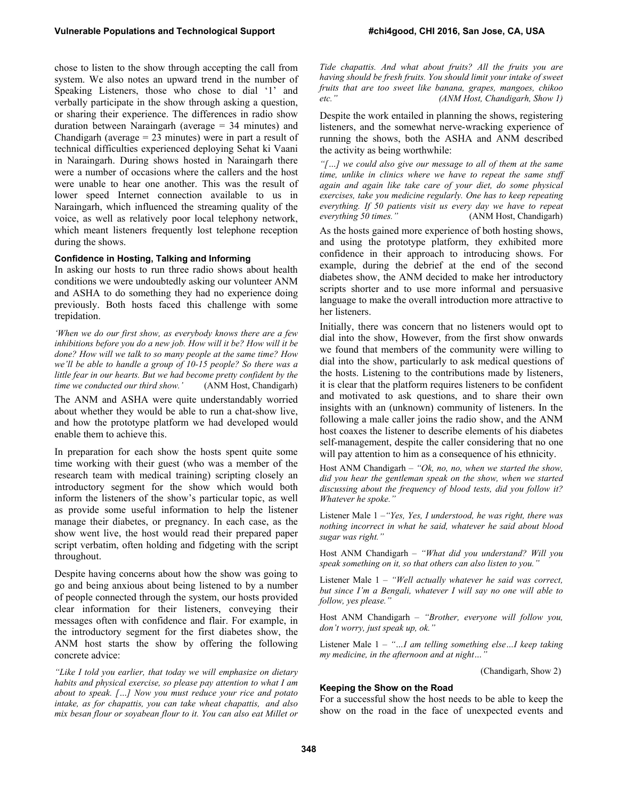chose to listen to the show through accepting the call from system. We also notes an upward trend in the number of Speaking Listeners, those who chose to dial '1' and verbally participate in the show through asking a question, or sharing their experience. The differences in radio show duration between Naraingarh (average = 34 minutes) and Chandigarh (average = 23 minutes) were in part a result of technical difficulties experienced deploying Sehat ki Vaani in Naraingarh. During shows hosted in Naraingarh there were a number of occasions where the callers and the host were unable to hear one another. This was the result of lower speed Internet connection available to us in Naraingarh, which influenced the streaming quality of the voice, as well as relatively poor local telephony network, which meant listeners frequently lost telephone reception during the shows.

#### **Confidence in Hosting, Talking and Informing**

In asking our hosts to run three radio shows about health conditions we were undoubtedly asking our volunteer ANM and ASHA to do something they had no experience doing previously. Both hosts faced this challenge with some trepidation.

*'When we do our first show, as everybody knows there are a few inhibitions before you do a new job. How will it be? How will it be done? How will we talk to so many people at the same time? How we'll be able to handle a group of 10-15 people? So there was a little fear in our hearts. But we had become pretty confident by the time we conducted our third show.'* (ANM Host, Chandigarh)

The ANM and ASHA were quite understandably worried about whether they would be able to run a chat-show live, and how the prototype platform we had developed would enable them to achieve this.

In preparation for each show the hosts spent quite some time working with their guest (who was a member of the research team with medical training) scripting closely an introductory segment for the show which would both inform the listeners of the show's particular topic, as well as provide some useful information to help the listener manage their diabetes, or pregnancy. In each case, as the show went live, the host would read their prepared paper script verbatim, often holding and fidgeting with the script throughout.

Despite having concerns about how the show was going to go and being anxious about being listened to by a number of people connected through the system, our hosts provided clear information for their listeners, conveying their messages often with confidence and flair. For example, in the introductory segment for the first diabetes show, the ANM host starts the show by offering the following concrete advice:

*"Like I told you earlier, that today we will emphasize on dietary habits and physical exercise, so please pay attention to what I am about to speak. […] Now you must reduce your rice and potato intake, as for chapattis, you can take wheat chapattis, and also mix besan flour or soyabean flour to it. You can also eat Millet or* 

*Tide chapattis. And what about fruits? All the fruits you are having should be fresh fruits. You should limit your intake of sweet fruits that are too sweet like banana, grapes, mangoes, chikoo etc." (ANM Host, Chandigarh, Show 1)* 

Despite the work entailed in planning the shows, registering listeners, and the somewhat nerve-wracking experience of running the shows, both the ASHA and ANM described the activity as being worthwhile:

*"[…] we could also give our message to all of them at the same time, unlike in clinics where we have to repeat the same stuff again and again like take care of your diet, do some physical exercises, take you medicine regularly. One has to keep repeating everything. If 50 patients visit us every day we have to repeat everything 50 times."* (ANM Host, Chandigarh)

As the hosts gained more experience of both hosting shows, and using the prototype platform, they exhibited more confidence in their approach to introducing shows. For example, during the debrief at the end of the second diabetes show, the ANM decided to make her introductory scripts shorter and to use more informal and persuasive language to make the overall introduction more attractive to her listeners.

Initially, there was concern that no listeners would opt to dial into the show, However, from the first show onwards we found that members of the community were willing to dial into the show, particularly to ask medical questions of the hosts. Listening to the contributions made by listeners, it is clear that the platform requires listeners to be confident and motivated to ask questions, and to share their own insights with an (unknown) community of listeners. In the following a male caller joins the radio show, and the ANM host coaxes the listener to describe elements of his diabetes self-management, despite the caller considering that no one will pay attention to him as a consequence of his ethnicity.

Host ANM Chandigarh – *"Ok, no, no, when we started the show, did you hear the gentleman speak on the show, when we started discussing about the frequency of blood tests, did you follow it? Whatever he spoke."*

Listener Male 1 –*"Yes, Yes, I understood, he was right, there was nothing incorrect in what he said, whatever he said about blood sugar was right."*

Host ANM Chandigarh – *"What did you understand? Will you speak something on it, so that others can also listen to you."*

Listener Male 1 – *"Well actually whatever he said was correct, but since I'm a Bengali, whatever I will say no one will able to follow, yes please."*

Host ANM Chandigarh – *"Brother, everyone will follow you, don't worry, just speak up, ok."*

Listener Male 1 – *"…I am telling something else…I keep taking my medicine, in the afternoon and at night…"*

(Chandigarh, Show 2)

#### **Keeping the Show on the Road**

For a successful show the host needs to be able to keep the show on the road in the face of unexpected events and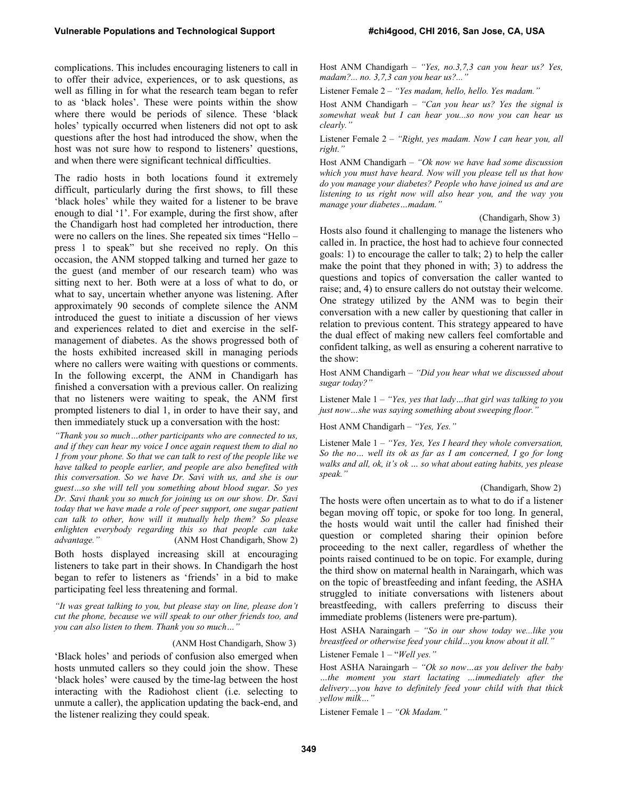complications. This includes encouraging listeners to call in to offer their advice, experiences, or to ask questions, as well as filling in for what the research team began to refer to as 'black holes'. These were points within the show where there would be periods of silence. These 'black holes' typically occurred when listeners did not opt to ask questions after the host had introduced the show, when the host was not sure how to respond to listeners' questions, and when there were significant technical difficulties.

The radio hosts in both locations found it extremely difficult, particularly during the first shows, to fill these 'black holes' while they waited for a listener to be brave enough to dial '1'. For example, during the first show, after the Chandigarh host had completed her introduction, there were no callers on the lines. She repeated six times "Hello – press 1 to speak" but she received no reply. On this occasion, the ANM stopped talking and turned her gaze to the guest (and member of our research team) who was sitting next to her. Both were at a loss of what to do, or what to say, uncertain whether anyone was listening. After approximately 90 seconds of complete silence the ANM introduced the guest to initiate a discussion of her views and experiences related to diet and exercise in the selfmanagement of diabetes. As the shows progressed both of the hosts exhibited increased skill in managing periods where no callers were waiting with questions or comments. In the following excerpt, the ANM in Chandigarh has finished a conversation with a previous caller. On realizing that no listeners were waiting to speak, the ANM first prompted listeners to dial 1, in order to have their say, and then immediately stuck up a conversation with the host:

*"Thank you so much…other participants who are connected to us, and if they can hear my voice I once again request them to dial no 1 from your phone. So that we can talk to rest of the people like we have talked to people earlier, and people are also benefited with this conversation. So we have Dr. Savi with us, and she is our guest…so she will tell you something about blood sugar. So yes Dr. Savi thank you so much for joining us on our show. Dr. Savi today that we have made a role of peer support, one sugar patient can talk to other, how will it mutually help them? So please enlighten everybody regarding this so that people can take advantage."* (ANM Host Chandigarh, Show 2)

Both hosts displayed increasing skill at encouraging listeners to take part in their shows. In Chandigarh the host began to refer to listeners as 'friends' in a bid to make participating feel less threatening and formal.

*"It was great talking to you, but please stay on line, please don't cut the phone, because we will speak to our other friends too, and you can also listen to them. Thank you so much…"* 

#### (ANM Host Chandigarh, Show 3)

'Black holes' and periods of confusion also emerged when hosts unmuted callers so they could join the show. These 'black holes' were caused by the time-lag between the host interacting with the Radiohost client (i.e. selecting to unmute a caller), the application updating the back-end, and the listener realizing they could speak.

Host ANM Chandigarh – *"Yes, no.3,7,3 can you hear us? Yes, madam?... no. 3,7,3 can you hear us?..."*

Listener Female 2 – *"Yes madam, hello, hello. Yes madam."*

Host ANM Chandigarh – *"Can you hear us? Yes the signal is somewhat weak but I can hear you...so now you can hear us clearly."*

Listener Female 2 – *"Right, yes madam. Now I can hear you, all right."*

Host ANM Chandigarh – *"Ok now we have had some discussion which you must have heard. Now will you please tell us that how do you manage your diabetes? People who have joined us and are listening to us right now will also hear you, and the way you manage your diabetes…madam."*

(Chandigarh, Show 3)

Hosts also found it challenging to manage the listeners who called in. In practice, the host had to achieve four connected goals: 1) to encourage the caller to talk; 2) to help the caller make the point that they phoned in with; 3) to address the questions and topics of conversation the caller wanted to raise; and, 4) to ensure callers do not outstay their welcome. One strategy utilized by the ANM was to begin their conversation with a new caller by questioning that caller in relation to previous content. This strategy appeared to have the dual effect of making new callers feel comfortable and confident talking, as well as ensuring a coherent narrative to the show:

Host ANM Chandigarh – *"Did you hear what we discussed about sugar today?"*

Listener Male 1 – *"Yes, yes that lady…that girl was talking to you just now…she was saying something about sweeping floor."*

Host ANM Chandigarh – *"Yes, Yes."*

Listener Male 1 – *"Yes, Yes, Yes I heard they whole conversation, So the no… well its ok as far as I am concerned, I go for long walks and all, ok, it's ok … so what about eating habits, yes please speak."*

(Chandigarh, Show 2)

The hosts were often uncertain as to what to do if a listener began moving off topic, or spoke for too long. In general, the hosts would wait until the caller had finished their question or completed sharing their opinion before proceeding to the next caller, regardless of whether the points raised continued to be on topic. For example, during the third show on maternal health in Naraingarh, which was on the topic of breastfeeding and infant feeding, the ASHA struggled to initiate conversations with listeners about breastfeeding, with callers preferring to discuss their immediate problems (listeners were pre-partum).

Host ASHA Naraingarh – *"So in our show today we...like you breastfeed or otherwise feed your child…you know about it all."*

Listener Female 1 – "*Well yes."*

Host ASHA Naraingarh – *"Ok so now…as you deliver the baby …the moment you start lactating …immediately after the delivery…you have to definitely feed your child with that thick yellow milk…"*

Listener Female 1 – *"Ok Madam."*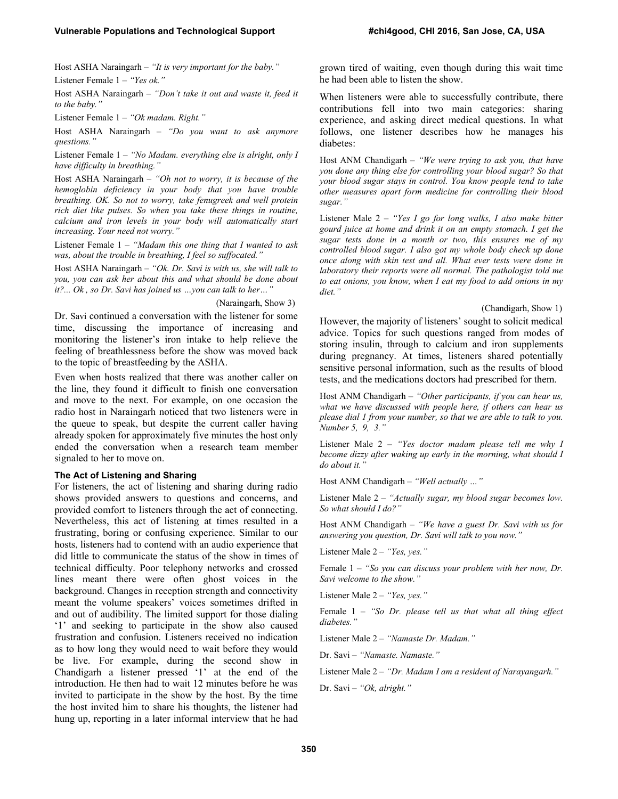Host ASHA Naraingarh – *"It is very important for the baby."* Listener Female 1 – *"Yes ok."*

Host ASHA Naraingarh – *"Don't take it out and waste it, feed it to the baby."*

Listener Female 1 – *"Ok madam. Right."*

Host ASHA Naraingarh – *"Do you want to ask anymore questions."*

Listener Female 1 – *"No Madam. everything else is alright, only I have difficulty in breathing."*

Host ASHA Naraingarh – *"Oh not to worry, it is because of the hemoglobin deficiency in your body that you have trouble breathing. OK. So not to worry, take fenugreek and well protein rich diet like pulses. So when you take these things in routine, calcium and iron levels in your body will automatically start increasing. Your need not worry."*

Listener Female 1 – *"Madam this one thing that I wanted to ask was, about the trouble in breathing, I feel so suffocated."*

Host ASHA Naraingarh – *"Ok. Dr. Savi is with us, she will talk to you, you can ask her about this and what should be done about it?... Ok , so Dr. Savi has joined us …you can talk to her…"*

#### (Naraingarh, Show 3)

Dr. Savi continued a conversation with the listener for some time, discussing the importance of increasing and monitoring the listener's iron intake to help relieve the feeling of breathlessness before the show was moved back to the topic of breastfeeding by the ASHA.

Even when hosts realized that there was another caller on the line, they found it difficult to finish one conversation and move to the next. For example, on one occasion the radio host in Naraingarh noticed that two listeners were in the queue to speak, but despite the current caller having already spoken for approximately five minutes the host only ended the conversation when a research team member signaled to her to move on.

#### **The Act of Listening and Sharing**

For listeners, the act of listening and sharing during radio shows provided answers to questions and concerns, and provided comfort to listeners through the act of connecting. Nevertheless, this act of listening at times resulted in a frustrating, boring or confusing experience. Similar to our hosts, listeners had to contend with an audio experience that did little to communicate the status of the show in times of technical difficulty. Poor telephony networks and crossed lines meant there were often ghost voices in the background. Changes in reception strength and connectivity meant the volume speakers' voices sometimes drifted in and out of audibility. The limited support for those dialing '1' and seeking to participate in the show also caused frustration and confusion. Listeners received no indication as to how long they would need to wait before they would be live. For example, during the second show in Chandigarh a listener pressed '1' at the end of the introduction. He then had to wait 12 minutes before he was invited to participate in the show by the host. By the time the host invited him to share his thoughts, the listener had hung up, reporting in a later informal interview that he had

grown tired of waiting, even though during this wait time he had been able to listen the show.

When listeners were able to successfully contribute, there contributions fell into two main categories: sharing experience, and asking direct medical questions. In what follows, one listener describes how he manages his diabetes:

Host ANM Chandigarh – *"We were trying to ask you, that have you done any thing else for controlling your blood sugar? So that your blood sugar stays in control. You know people tend to take other measures apart form medicine for controlling their blood sugar."*

Listener Male 2 – *"Yes I go for long walks, I also make bitter gourd juice at home and drink it on an empty stomach. I get the sugar tests done in a month or two, this ensures me of my controlled blood sugar. I also got my whole body check up done once along with skin test and all. What ever tests were done in laboratory their reports were all normal. The pathologist told me to eat onions, you know, when I eat my food to add onions in my diet."* 

#### (Chandigarh, Show 1)

However, the majority of listeners' sought to solicit medical advice. Topics for such questions ranged from modes of storing insulin, through to calcium and iron supplements during pregnancy. At times, listeners shared potentially sensitive personal information, such as the results of blood tests, and the medications doctors had prescribed for them.

Host ANM Chandigarh – *"Other participants, if you can hear us, what we have discussed with people here, if others can hear us please dial 1 from your number, so that we are able to talk to you. Number 5, 9, 3."*

Listener Male 2 – *"Yes doctor madam please tell me why I become dizzy after waking up early in the morning, what should I do about it."*

Host ANM Chandigarh *– "Well actually …"*

Listener Male 2 – *"Actually sugar, my blood sugar becomes low. So what should I do?"*

Host ANM Chandigarh – *"We have a guest Dr. Savi with us for answering you question, Dr. Savi will talk to you now."*

Listener Male 2 – *"Yes, yes."*

Female 1 – *"So you can discuss your problem with her now, Dr. Savi welcome to the show."*

Listener Male 2 – *"Yes, yes."*

Female 1 – *"So Dr. please tell us that what all thing effect diabetes."*

Listener Male 2 – *"Namaste Dr. Madam."*

Dr. Savi – *"Namaste. Namaste."*

Listener Male 2 – *"Dr. Madam I am a resident of Narayangarh."* 

Dr. Savi – *"Ok, alright."*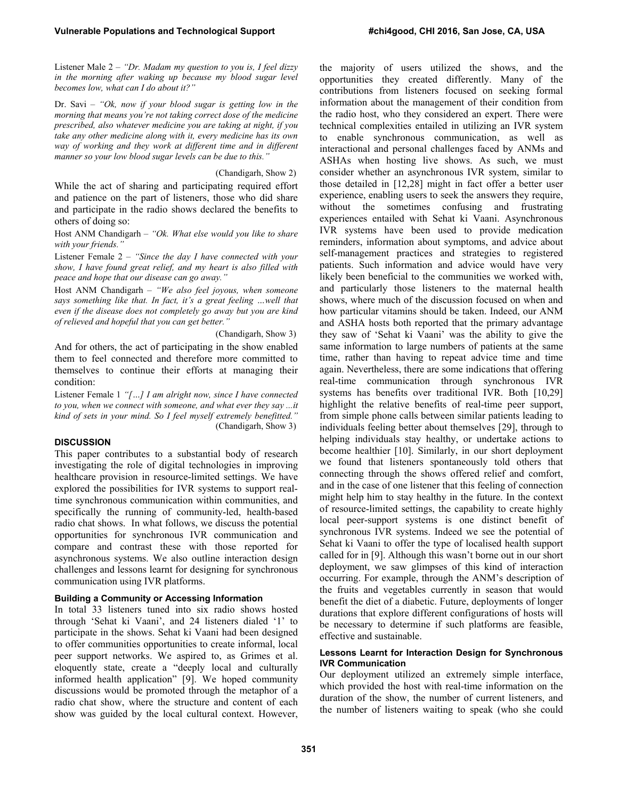Listener Male 2 – *"Dr. Madam my question to you is, I feel dizzy in the morning after waking up because my blood sugar level becomes low, what can I do about it?"*

Dr. Savi – *"Ok, now if your blood sugar is getting low in the morning that means you're not taking correct dose of the medicine prescribed, also whatever medicine you are taking at night, if you take any other medicine along with it, every medicine has its own way of working and they work at different time and in different manner so your low blood sugar levels can be due to this."*

#### (Chandigarh, Show 2)

While the act of sharing and participating required effort and patience on the part of listeners, those who did share and participate in the radio shows declared the benefits to others of doing so:

Host ANM Chandigarh – *"Ok. What else would you like to share with your friends."* 

Listener Female 2 – *"Since the day I have connected with your show, I have found great relief, and my heart is also filled with peace and hope that our disease can go away."*

Host ANM Chandigarh – *"We also feel joyous, when someone says something like that. In fact, it's a great feeling …well that even if the disease does not completely go away but you are kind of relieved and hopeful that you can get better."*

(Chandigarh, Show 3)

And for others, the act of participating in the show enabled them to feel connected and therefore more committed to themselves to continue their efforts at managing their condition:

Listener Female 1 *"[…] I am alright now, since I have connected to you, when we connect with someone, and what ever they say ...it kind of sets in your mind. So I feel myself extremely benefitted."* (Chandigarh, Show 3)

#### **DISCUSSION**

This paper contributes to a substantial body of research investigating the role of digital technologies in improving healthcare provision in resource-limited settings. We have explored the possibilities for IVR systems to support realtime synchronous communication within communities, and specifically the running of community-led, health-based radio chat shows. In what follows, we discuss the potential opportunities for synchronous IVR communication and compare and contrast these with those reported for asynchronous systems. We also outline interaction design challenges and lessons learnt for designing for synchronous communication using IVR platforms.

#### **Building a Community or Accessing Information**

In total 33 listeners tuned into six radio shows hosted through 'Sehat ki Vaani', and 24 listeners dialed '1' to participate in the shows. Sehat ki Vaani had been designed to offer communities opportunities to create informal, local peer support networks. We aspired to, as Grimes et al. eloquently state, create a "deeply local and culturally informed health application" [9]. We hoped community discussions would be promoted through the metaphor of a radio chat show, where the structure and content of each show was guided by the local cultural context. However,

the majority of users utilized the shows, and the opportunities they created differently. Many of the contributions from listeners focused on seeking formal information about the management of their condition from the radio host, who they considered an expert. There were technical complexities entailed in utilizing an IVR system to enable synchronous communication, as well as interactional and personal challenges faced by ANMs and ASHAs when hosting live shows. As such, we must consider whether an asynchronous IVR system, similar to those detailed in [12,28] might in fact offer a better user experience, enabling users to seek the answers they require, without the sometimes confusing and frustrating experiences entailed with Sehat ki Vaani. Asynchronous IVR systems have been used to provide medication reminders, information about symptoms, and advice about self-management practices and strategies to registered patients. Such information and advice would have very likely been beneficial to the communities we worked with, and particularly those listeners to the maternal health shows, where much of the discussion focused on when and how particular vitamins should be taken. Indeed, our ANM and ASHA hosts both reported that the primary advantage they saw of 'Sehat ki Vaani' was the ability to give the same information to large numbers of patients at the same time, rather than having to repeat advice time and time again. Nevertheless, there are some indications that offering real-time communication through synchronous IVR systems has benefits over traditional IVR. Both [10,29] highlight the relative benefits of real-time peer support, from simple phone calls between similar patients leading to individuals feeling better about themselves [29], through to helping individuals stay healthy, or undertake actions to become healthier [10]. Similarly, in our short deployment we found that listeners spontaneously told others that connecting through the shows offered relief and comfort, and in the case of one listener that this feeling of connection might help him to stay healthy in the future. In the context of resource-limited settings, the capability to create highly local peer-support systems is one distinct benefit of synchronous IVR systems. Indeed we see the potential of Sehat ki Vaani to offer the type of localised health support called for in [9]. Although this wasn't borne out in our short deployment, we saw glimpses of this kind of interaction occurring. For example, through the ANM's description of the fruits and vegetables currently in season that would benefit the diet of a diabetic. Future, deployments of longer durations that explore different configurations of hosts will be necessary to determine if such platforms are feasible, effective and sustainable.

## **Lessons Learnt for Interaction Design for Synchronous IVR Communication**

Our deployment utilized an extremely simple interface, which provided the host with real-time information on the duration of the show, the number of current listeners, and the number of listeners waiting to speak (who she could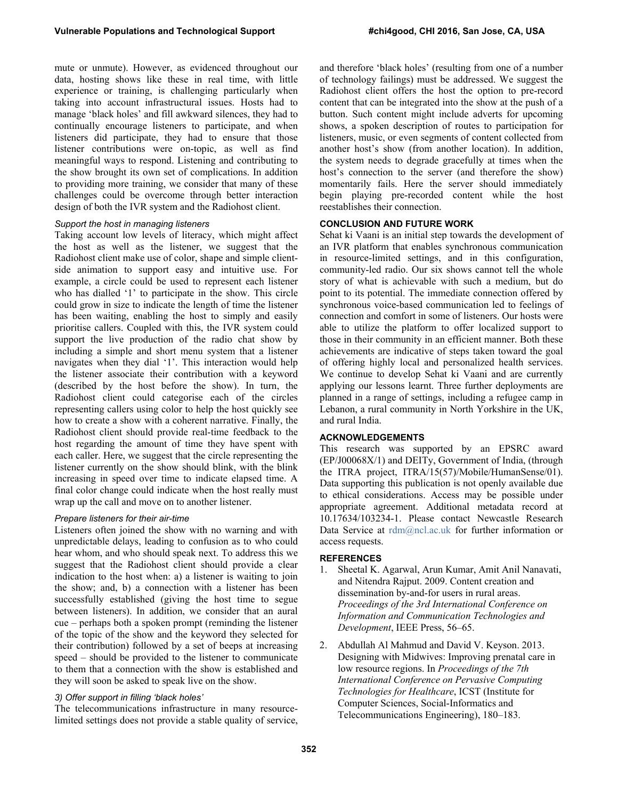mute or unmute). However, as evidenced throughout our data, hosting shows like these in real time, with little experience or training, is challenging particularly when taking into account infrastructural issues. Hosts had to manage 'black holes' and fill awkward silences, they had to continually encourage listeners to participate, and when listeners did participate, they had to ensure that those listener contributions were on-topic, as well as find meaningful ways to respond. Listening and contributing to the show brought its own set of complications. In addition to providing more training, we consider that many of these challenges could be overcome through better interaction design of both the IVR system and the Radiohost client.

#### *Support the host in managing listeners*

Taking account low levels of literacy, which might affect the host as well as the listener, we suggest that the Radiohost client make use of color, shape and simple clientside animation to support easy and intuitive use. For example, a circle could be used to represent each listener who has dialled '1' to participate in the show. This circle could grow in size to indicate the length of time the listener has been waiting, enabling the host to simply and easily prioritise callers. Coupled with this, the IVR system could support the live production of the radio chat show by including a simple and short menu system that a listener navigates when they dial '1'. This interaction would help the listener associate their contribution with a keyword (described by the host before the show). In turn, the Radiohost client could categorise each of the circles representing callers using color to help the host quickly see how to create a show with a coherent narrative. Finally, the Radiohost client should provide real-time feedback to the host regarding the amount of time they have spent with each caller. Here, we suggest that the circle representing the listener currently on the show should blink, with the blink increasing in speed over time to indicate elapsed time. A final color change could indicate when the host really must wrap up the call and move on to another listener.

#### *Prepare listeners for their air-time*

Listeners often joined the show with no warning and with unpredictable delays, leading to confusion as to who could hear whom, and who should speak next. To address this we suggest that the Radiohost client should provide a clear indication to the host when: a) a listener is waiting to join the show; and, b) a connection with a listener has been successfully established (giving the host time to segue between listeners). In addition, we consider that an aural cue – perhaps both a spoken prompt (reminding the listener of the topic of the show and the keyword they selected for their contribution) followed by a set of beeps at increasing speed – should be provided to the listener to communicate to them that a connection with the show is established and they will soon be asked to speak live on the show.

#### *3) Offer support in filling 'black holes'*

The telecommunications infrastructure in many resourcelimited settings does not provide a stable quality of service, and therefore 'black holes' (resulting from one of a number of technology failings) must be addressed. We suggest the Radiohost client offers the host the option to pre-record content that can be integrated into the show at the push of a button. Such content might include adverts for upcoming shows, a spoken description of routes to participation for listeners, music, or even segments of content collected from another host's show (from another location). In addition, the system needs to degrade gracefully at times when the host's connection to the server (and therefore the show) momentarily fails. Here the server should immediately begin playing pre-recorded content while the host reestablishes their connection.

#### **CONCLUSION AND FUTURE WORK**

Sehat ki Vaani is an initial step towards the development of an IVR platform that enables synchronous communication in resource-limited settings, and in this configuration, community-led radio. Our six shows cannot tell the whole story of what is achievable with such a medium, but do point to its potential. The immediate connection offered by synchronous voice-based communication led to feelings of connection and comfort in some of listeners. Our hosts were able to utilize the platform to offer localized support to those in their community in an efficient manner. Both these achievements are indicative of steps taken toward the goal of offering highly local and personalized health services. We continue to develop Sehat ki Vaani and are currently applying our lessons learnt. Three further deployments are planned in a range of settings, including a refugee camp in Lebanon, a rural community in North Yorkshire in the UK, and rural India.

## **ACKNOWLEDGEMENTS**

This research was supported by an EPSRC award (EP/J00068X/1) and DEITy, Government of India, (through the ITRA project, ITRA/15(57)/Mobile/HumanSense/01). Data supporting this publication is not openly available due to ethical considerations. Access may be possible under appropriate agreement. Additional metadata record at 10.17634/103234-1. Please contact Newcastle Research Data Service at rdm@ncl.ac.uk for further information or access requests.

#### **REFERENCES**

- 1. Sheetal K. Agarwal, Arun Kumar, Amit Anil Nanavati, and Nitendra Rajput. 2009. Content creation and dissemination by-and-for users in rural areas. *Proceedings of the 3rd International Conference on Information and Communication Technologies and Development*, IEEE Press, 56–65.
- 2. Abdullah Al Mahmud and David V. Keyson. 2013. Designing with Midwives: Improving prenatal care in low resource regions. In *Proceedings of the 7th International Conference on Pervasive Computing Technologies for Healthcare*, ICST (Institute for Computer Sciences, Social-Informatics and Telecommunications Engineering), 180–183.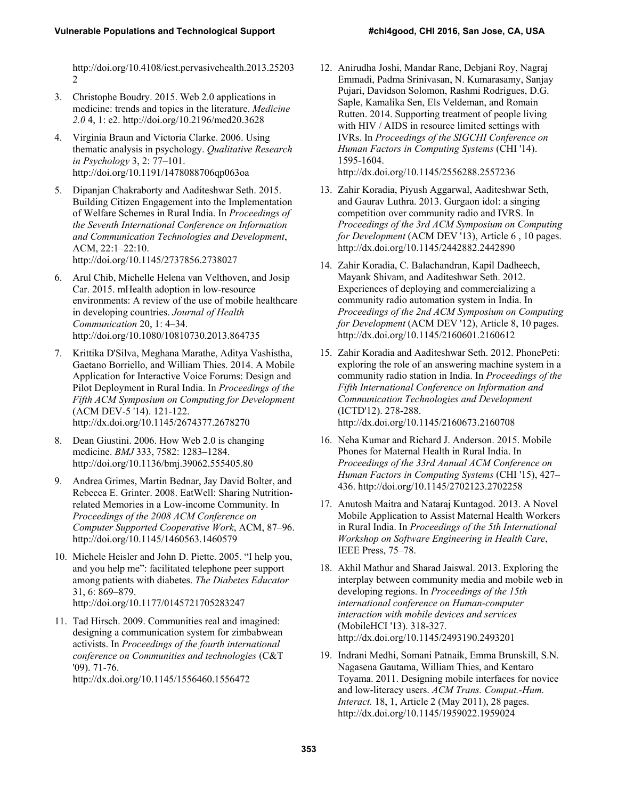http://doi.org/10.4108/icst.pervasivehealth.2013.25203 2

- 3. Christophe Boudry. 2015. Web 2.0 applications in medicine: trends and topics in the literature. *Medicine 2.0* 4, 1: e2. http://doi.org/10.2196/med20.3628
- 4. Virginia Braun and Victoria Clarke. 2006. Using thematic analysis in psychology. *Qualitative Research in Psychology* 3, 2: 77–101. http://doi.org/10.1191/1478088706qp063oa
- 5. Dipanjan Chakraborty and Aaditeshwar Seth. 2015. Building Citizen Engagement into the Implementation of Welfare Schemes in Rural India. In *Proceedings of the Seventh International Conference on Information and Communication Technologies and Development*, ACM, 22:1–22:10. http://doi.org/10.1145/2737856.2738027
- 6. Arul Chib, Michelle Helena van Velthoven, and Josip Car. 2015. mHealth adoption in low-resource environments: A review of the use of mobile healthcare in developing countries. *Journal of Health Communication* 20, 1: 4–34. http://doi.org/10.1080/10810730.2013.864735
- 7. Krittika D'Silva, Meghana Marathe, Aditya Vashistha, Gaetano Borriello, and William Thies. 2014. A Mobile Application for Interactive Voice Forums: Design and Pilot Deployment in Rural India. In *Proceedings of the Fifth ACM Symposium on Computing for Development* (ACM DEV-5 '14). 121-122. http://dx.doi.org/10.1145/2674377.2678270
- 8. Dean Giustini. 2006. How Web 2.0 is changing medicine. *BMJ* 333, 7582: 1283–1284. http://doi.org/10.1136/bmj.39062.555405.80
- 9. Andrea Grimes, Martin Bednar, Jay David Bolter, and Rebecca E. Grinter. 2008. EatWell: Sharing Nutritionrelated Memories in a Low-income Community. In *Proceedings of the 2008 ACM Conference on Computer Supported Cooperative Work*, ACM, 87–96. http://doi.org/10.1145/1460563.1460579
- 10. Michele Heisler and John D. Piette. 2005. "I help you, and you help me": facilitated telephone peer support among patients with diabetes. *The Diabetes Educator* 31, 6: 869–879. http://doi.org/10.1177/0145721705283247
- 11. Tad Hirsch. 2009. Communities real and imagined: designing a communication system for zimbabwean activists. In *Proceedings of the fourth international conference on Communities and technologies* (C&T '09). 71-76.

http://dx.doi.org/10.1145/1556460.1556472

- 12. Anirudha Joshi, Mandar Rane, Debjani Roy, Nagraj Emmadi, Padma Srinivasan, N. Kumarasamy, Sanjay Pujari, Davidson Solomon, Rashmi Rodrigues, D.G. Saple, Kamalika Sen, Els Veldeman, and Romain Rutten. 2014. Supporting treatment of people living with HIV / AIDS in resource limited settings with IVRs. In *Proceedings of the SIGCHI Conference on Human Factors in Computing Systems* (CHI '14). 1595-1604. http://dx.doi.org/10.1145/2556288.2557236
- 13. Zahir Koradia, Piyush Aggarwal, Aaditeshwar Seth, and Gaurav Luthra. 2013. Gurgaon idol: a singing competition over community radio and IVRS. In *Proceedings of the 3rd ACM Symposium on Computing for Development* (ACM DEV '13), Article 6 , 10 pages. http://dx.doi.org/10.1145/2442882.2442890
- 14. Zahir Koradia, C. Balachandran, Kapil Dadheech, Mayank Shivam, and Aaditeshwar Seth. 2012. Experiences of deploying and commercializing a community radio automation system in India. In *Proceedings of the 2nd ACM Symposium on Computing for Development* (ACM DEV '12), Article 8, 10 pages. http://dx.doi.org/10.1145/2160601.2160612
- 15. Zahir Koradia and Aaditeshwar Seth. 2012. PhonePeti: exploring the role of an answering machine system in a community radio station in India. In *Proceedings of the Fifth International Conference on Information and Communication Technologies and Development* (ICTD'12). 278-288. http://dx.doi.org/10.1145/2160673.2160708
- 16. Neha Kumar and Richard J. Anderson. 2015. Mobile Phones for Maternal Health in Rural India. In *Proceedings of the 33rd Annual ACM Conference on Human Factors in Computing Systems* (CHI '15), 427– 436. http://doi.org/10.1145/2702123.2702258
- 17. Anutosh Maitra and Nataraj Kuntagod. 2013. A Novel Mobile Application to Assist Maternal Health Workers in Rural India. In *Proceedings of the 5th International Workshop on Software Engineering in Health Care*, IEEE Press, 75–78.
- 18. Akhil Mathur and Sharad Jaiswal. 2013. Exploring the interplay between community media and mobile web in developing regions. In *Proceedings of the 15th international conference on Human-computer interaction with mobile devices and services* (MobileHCI '13). 318-327. http://dx.doi.org/10.1145/2493190.2493201
- 19. Indrani Medhi, Somani Patnaik, Emma Brunskill, S.N. Nagasena Gautama, William Thies, and Kentaro Toyama. 2011. Designing mobile interfaces for novice and low-literacy users. *ACM Trans. Comput.-Hum. Interact.* 18, 1, Article 2 (May 2011), 28 pages. http://dx.doi.org/10.1145/1959022.1959024